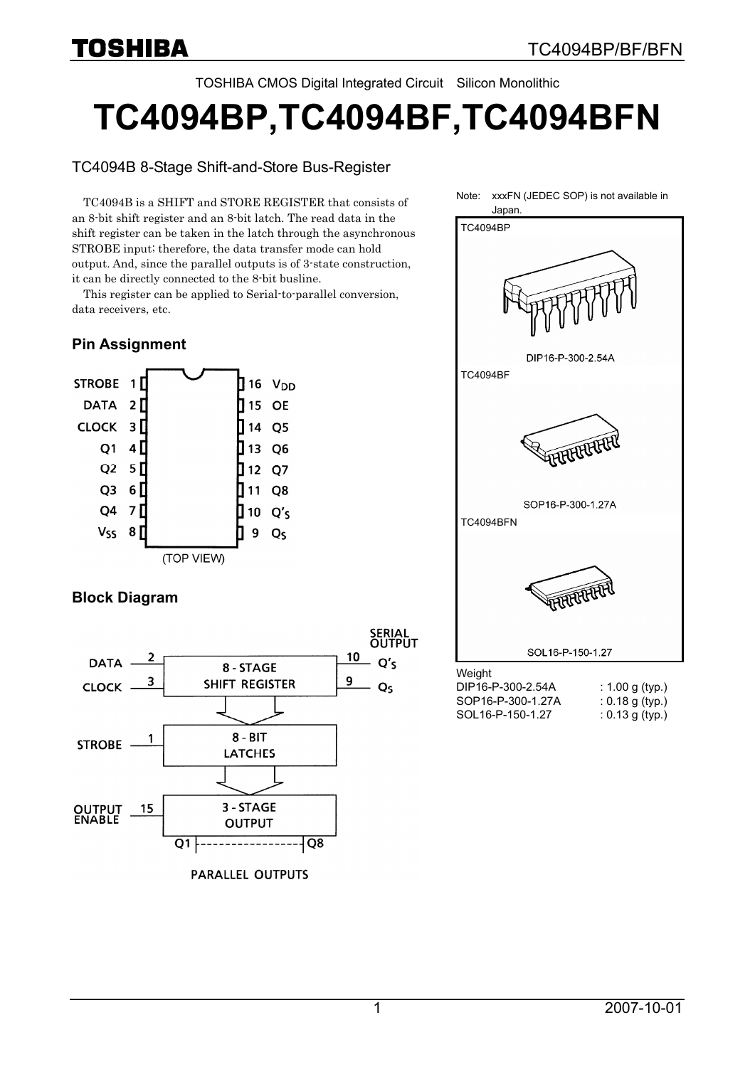TOSHIBA CMOS Digital Integrated Circuit Silicon Monolithic

# **TC4094BP,TC4094BF,TC4094BFN**

### TC4094B 8-Stage Shift-and-Store Bus-Register

TC4094B is a SHIFT and STORE REGISTER that consists of an 8-bit shift register and an 8-bit latch. The read data in the shift register can be taken in the latch through the asynchronous STROBE input; therefore, the data transfer mode can hold output. And, since the parallel outputs is of 3-state construction, it can be directly connected to the 8-bit busline.

This register can be applied to Serial-to-parallel conversion, data receivers, etc.

# **Pin Assignment**



# **Block Diagram**



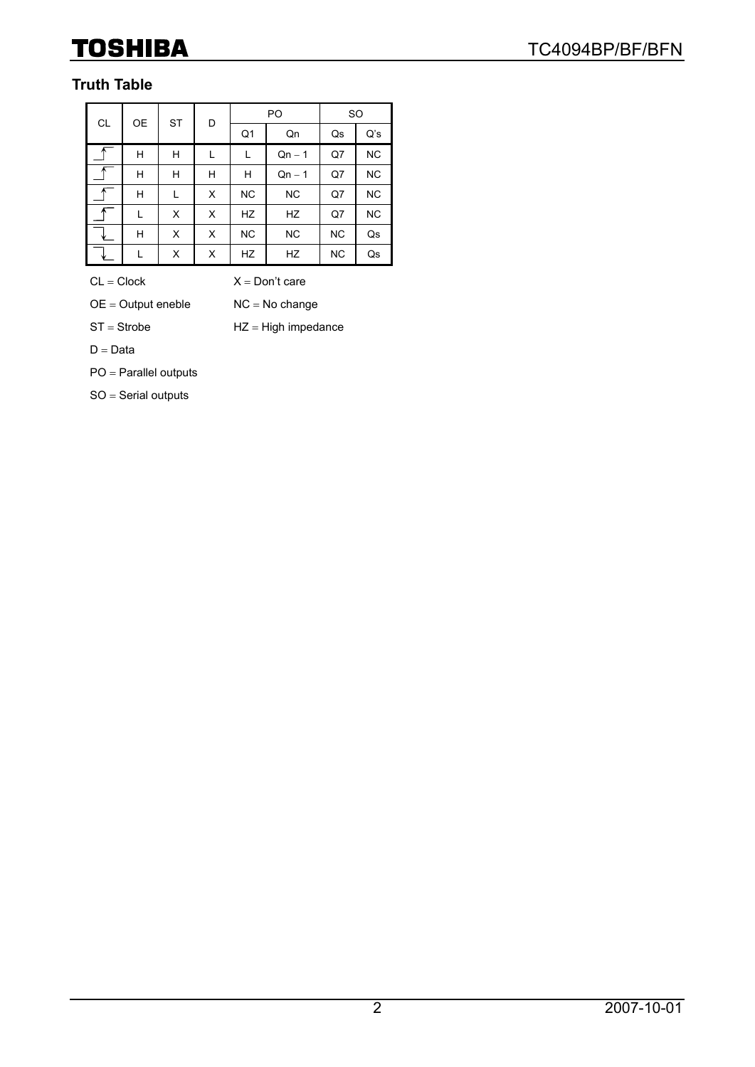# **Truth Table**

| CL | 0E | <b>ST</b> | D              |           | PO        | <b>SO</b> |           |  |
|----|----|-----------|----------------|-----------|-----------|-----------|-----------|--|
|    |    |           | Q <sub>1</sub> |           | Qn        | Qs        | Q's       |  |
|    | H  | Н         |                | L         | $Qn - 1$  | Q7        | <b>NC</b> |  |
|    | Н  | Н         | н              | Н         | $Qn - 1$  | Q7        | <b>NC</b> |  |
|    | Н  | L         | X              | <b>NC</b> | <b>NC</b> | Q7        | <b>NC</b> |  |
|    | L  | X         | X              | HZ        | HZ        | Q7        | <b>NC</b> |  |
|    | Н  | X         | X              | <b>NC</b> | <b>NC</b> | <b>NC</b> | Qs        |  |
|    |    | X         | X              | HZ        | HZ        | <b>NC</b> | Qs        |  |

 $CL = Clock$   $X = Don't care$ 

 $OE = Output$  eneble  $NC = No$  change

 $ST =$  Strobe  $HZ =$  High impedance

 $D = Data$ 

PO = Parallel outputs

SO = Serial outputs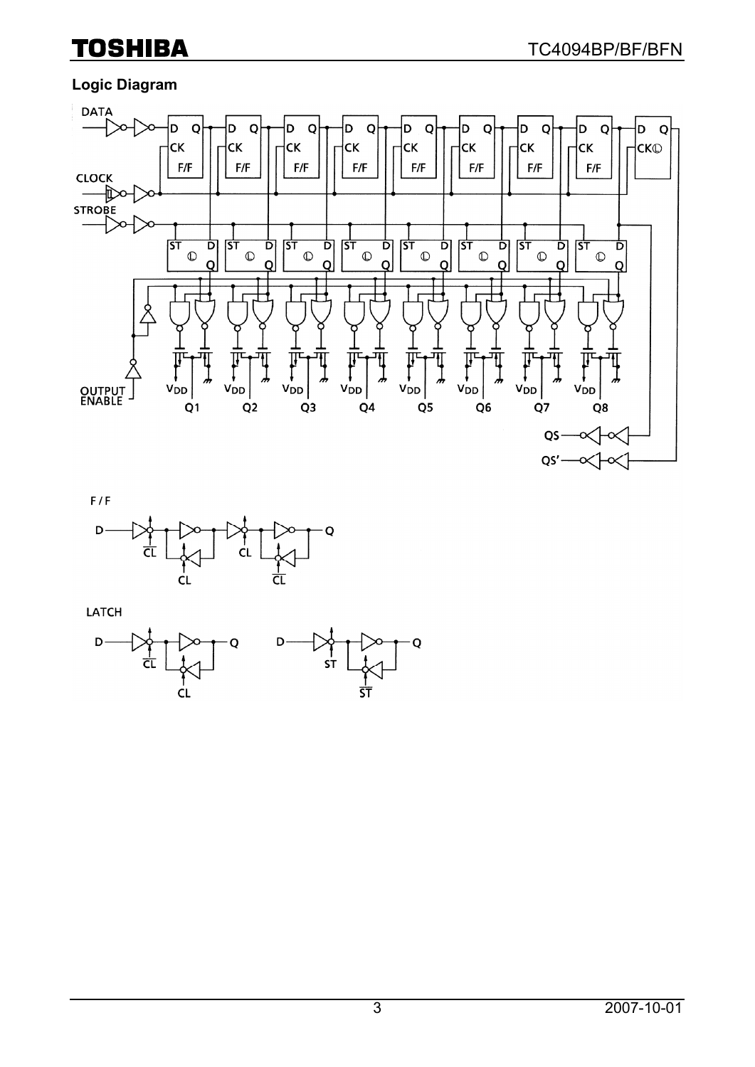# **Logic Diagram**





LATCH

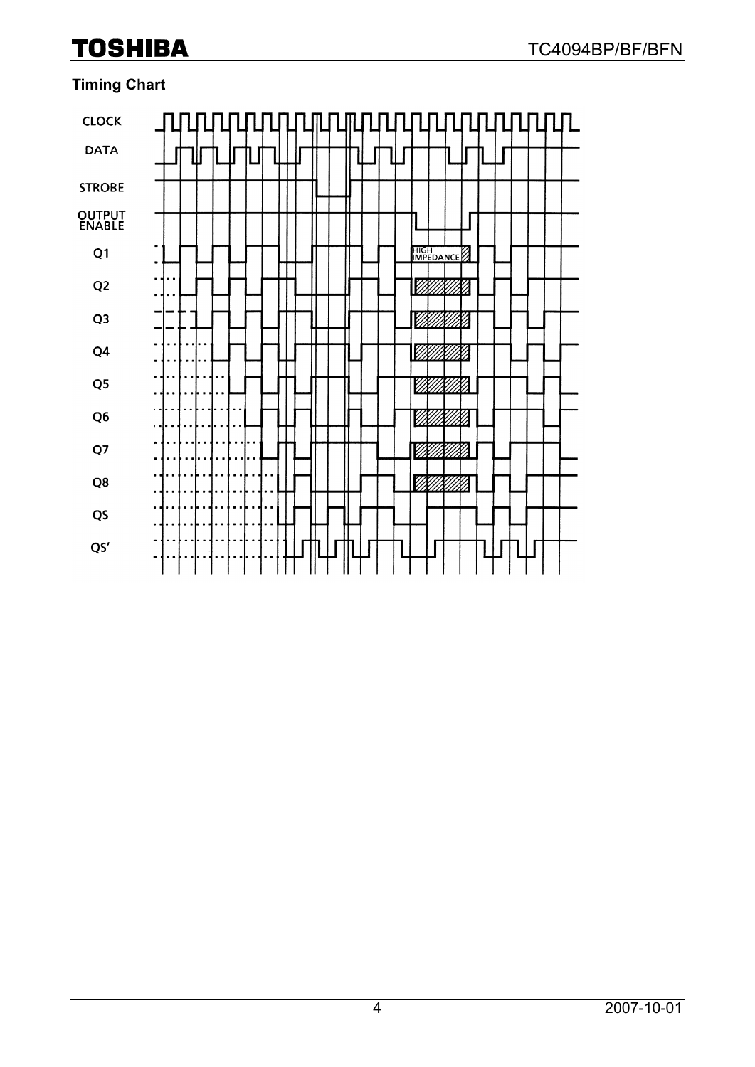# **Timing Chart**

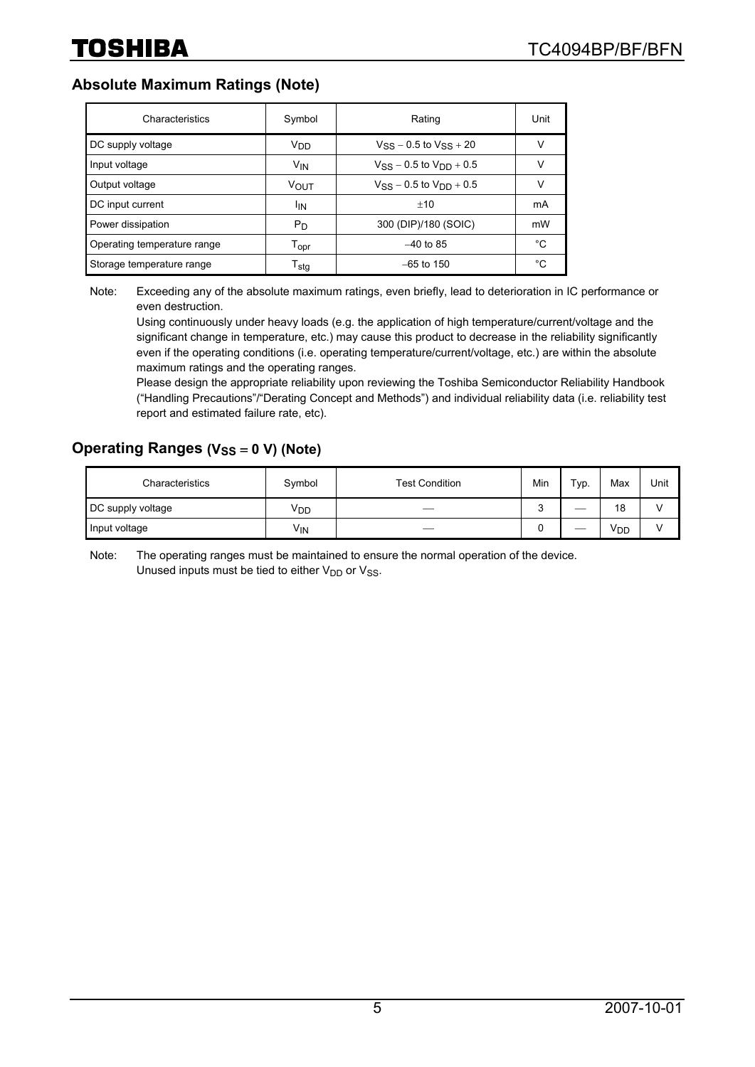#### **Absolute Maximum Ratings (Note)**

| Characteristics             | Symbol                      | Rating                           | Unit |
|-----------------------------|-----------------------------|----------------------------------|------|
| DC supply voltage           | V <sub>DD</sub>             | $V_{SS}$ – 0.5 to $V_{SS}$ + 20  | ν    |
| Input voltage               | <b>V<sub>IN</sub></b>       | $V_{SS}$ – 0.5 to $V_{DD}$ + 0.5 | ν    |
| Output voltage              | VOUT                        | $V_{SS}$ – 0.5 to $V_{DD}$ + 0.5 | ν    |
| DC input current            | İΙN                         | $+10$                            | mA   |
| Power dissipation           | $P_D$                       | 300 (DIP)/180 (SOIC)             | mW   |
| Operating temperature range | $\mathsf{T}_{\mathsf{opr}}$ | $-40$ to 85                      | °C   |
| Storage temperature range   | $T_{\text{stg}}$            | $-65$ to 150                     | °C   |

Note: Exceeding any of the absolute maximum ratings, even briefly, lead to deterioration in IC performance or even destruction.

Using continuously under heavy loads (e.g. the application of high temperature/current/voltage and the significant change in temperature, etc.) may cause this product to decrease in the reliability significantly even if the operating conditions (i.e. operating temperature/current/voltage, etc.) are within the absolute maximum ratings and the operating ranges.

Please design the appropriate reliability upon reviewing the Toshiba Semiconductor Reliability Handbook ("Handling Precautions"/"Derating Concept and Methods") and individual reliability data (i.e. reliability test report and estimated failure rate, etc).

#### **Operating Ranges (V<sub>SS</sub> = 0 V) (Note)**

| Characteristics   | Symbol          | <b>Test Condition</b> | Min    | Typ. | Max | Unit |
|-------------------|-----------------|-----------------------|--------|------|-----|------|
| DC supply voltage | V <sub>DD</sub> |                       | ∽<br>ັ | __   | 18  |      |
| Input voltage     | V <sub>IN</sub> |                       | ັ      | __   | VDD |      |

Note: The operating ranges must be maintained to ensure the normal operation of the device. Unused inputs must be tied to either  $V_{DD}$  or  $V_{SS}$ .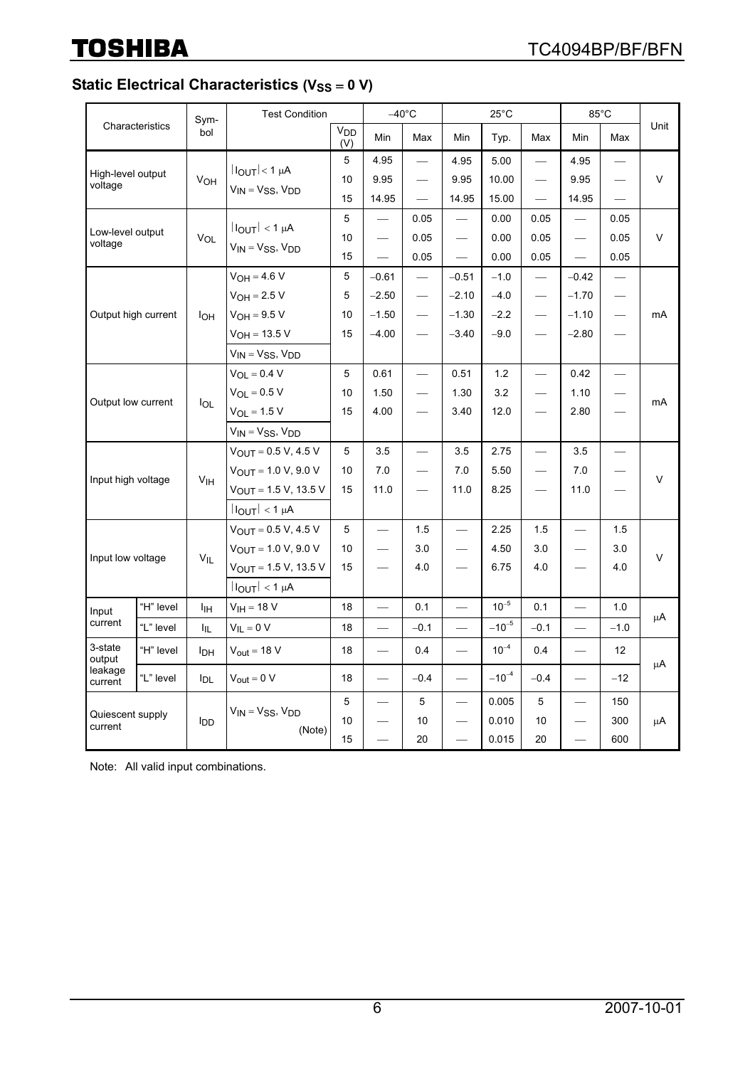# **Static Electrical Characteristics (V<sub>SS</sub> = 0 V)**

|                              |                 | Sym-            | <b>Test Condition</b>        |                        |                          | $-40^{\circ}$ C                   |                          | $25^{\circ}$ C |                          |                          | $85^{\circ}$ C                |        |  |
|------------------------------|-----------------|-----------------|------------------------------|------------------------|--------------------------|-----------------------------------|--------------------------|----------------|--------------------------|--------------------------|-------------------------------|--------|--|
|                              | Characteristics | bol             |                              | V <sub>DD</sub><br>(V) | Min                      | Max                               | Min                      | Typ.           | Max                      | Min                      | Max                           | Unit   |  |
| High-level output<br>voltage |                 |                 |                              | 5                      | 4.95                     | $\overline{\phantom{0}}$          | 4.95                     | 5.00           |                          | 4.95                     | $\overline{\phantom{0}}$      | V      |  |
|                              |                 | V <sub>OH</sub> | $ I_{OUT}  < 1 \mu A$        | 10                     | 9.95                     | $\overbrace{\phantom{12322111}}$  | 9.95                     | 10.00          |                          | 9.95                     | $\overline{\phantom{0}}$      |        |  |
|                              |                 |                 | $V_{IN} = V_{SS}$ , $V_{DD}$ | 15                     | 14.95                    |                                   | 14.95                    | 15.00          | $\qquad \qquad$          | 14.95                    | $\frac{1}{1}$                 |        |  |
|                              |                 |                 | $ I_{OUT}  < 1 \mu A$        | 5                      |                          | 0.05                              |                          | 0.00           | 0.05                     |                          | 0.05                          |        |  |
| Low-level output<br>voltage  |                 | VOL             | $V_{IN} = V_{SS}$ , $V_{DD}$ | 10                     | $\qquad \qquad$          | 0.05                              |                          | 0.00           | 0.05                     |                          | 0.05                          | $\vee$ |  |
|                              |                 |                 |                              | 15                     |                          | 0.05                              |                          | 0.00           | 0.05                     |                          | 0.05                          |        |  |
|                              |                 |                 | $V_{OH} = 4.6 V$             | 5                      | $-0.61$                  |                                   | $-0.51$                  | $-1.0$         |                          | $-0.42$                  |                               |        |  |
|                              |                 |                 | $V_{OH} = 2.5 V$             | 5                      | $-2.50$                  |                                   | $-2.10$                  | $-4.0$         | $\overline{\phantom{0}}$ | $-1.70$                  |                               |        |  |
| Output high current          |                 | loh             | $V_{OH} = 9.5 V$             | 10                     | $-1.50$                  | $\overbrace{\qquad \qquad }^{}$   | $-1.30$                  | $-2.2$         |                          | $-1.10$                  | $\overbrace{\phantom{12333}}$ | mA     |  |
|                              |                 |                 | $V_{OH} = 13.5 V$            | 15                     | $-4.00$                  | $\overbrace{\phantom{123221111}}$ | $-3.40$                  | $-9.0$         |                          | $-2.80$                  |                               |        |  |
|                              |                 |                 | $V_{IN} = V_{SS}$ , $V_{DD}$ |                        |                          |                                   |                          |                |                          |                          |                               |        |  |
|                              |                 |                 | $V_{OL} = 0.4 V$             | 5                      | 0.61                     | $\overline{\phantom{0}}$          | 0.51                     | 1.2            | $\overline{\phantom{0}}$ | 0.42                     | $\overline{\phantom{0}}$      | mA     |  |
|                              |                 |                 | $V_{OL} = 0.5 V$             | 10                     | 1.50                     |                                   | 1.30                     | 3.2            |                          | 1.10                     |                               |        |  |
| Output low current           |                 | lol             | $V_{OL} = 1.5 V$             | 15                     | 4.00                     | $\qquad \qquad -$                 | 3.40                     | 12.0           |                          | 2.80                     | $\overline{\phantom{0}}$      |        |  |
|                              |                 |                 | $V_{IN} = V_{SS}$ , $V_{DD}$ |                        |                          |                                   |                          |                |                          |                          |                               |        |  |
|                              |                 |                 | $V_{OUT} = 0.5 V, 4.5 V$     | 5                      | 3.5                      | $\overbrace{\phantom{12322111}}$  | 3.5                      | 2.75           | $\overline{\phantom{0}}$ | 3.5                      | $\overline{\phantom{0}}$      |        |  |
| Input high voltage           |                 | V <sub>IH</sub> | $V_{OUT}$ = 1.0 V, 9.0 V     | 10                     | 7.0                      |                                   | 7.0                      | 5.50           |                          | 7.0                      |                               | $\vee$ |  |
|                              |                 |                 | $V_{OUT} = 1.5 V, 13.5 V$    | 15                     | 11.0                     | $\overbrace{\phantom{12322111}}$  | 11.0                     | 8.25           | $\overline{\phantom{0}}$ | 11.0                     | $\overline{\phantom{0}}$      |        |  |
|                              |                 |                 | $ I_{OUT}  < 1 \mu A$        |                        |                          |                                   |                          |                |                          |                          |                               |        |  |
|                              |                 |                 | $V_{OUT} = 0.5 V, 4.5 V$     | 5                      | $\overline{\phantom{0}}$ | 1.5                               | $\overline{\phantom{0}}$ | 2.25           | 1.5                      |                          | 1.5                           | V      |  |
| Input low voltage            |                 | $V_{IL}$        | $V_{OUT} = 1.0 V, 9.0 V$     | 10                     |                          | 3.0                               | $\overline{\phantom{0}}$ | 4.50           | 3.0                      |                          | 3.0                           |        |  |
|                              |                 |                 | $V_{OUT} = 1.5 V, 13.5 V$    | 15                     |                          | 4.0                               |                          | 6.75           | 4.0                      |                          | 4.0                           |        |  |
|                              |                 |                 | $ I_{OUT}  < 1 \mu A$        |                        |                          |                                   |                          |                |                          |                          |                               |        |  |
| Input                        | "H" level       | Iін             | $V_{IH} = 18 V$              | 18                     |                          | 0.1                               |                          | $10^{-5}$      | 0.1                      |                          | 1.0                           |        |  |
| current                      | "L" level       | ŀμ.             | $V_{IL} = 0 V$               | 18                     |                          | $-0.1$                            |                          | $-10^{-5}$     | $-0.1$                   | $\overline{\phantom{0}}$ | $-1.0$                        | μA     |  |
| 3-state<br>output            | "H" level       | <b>I</b> DH     | $V_{out} = 18 V$             | 18                     | $\overline{\phantom{0}}$ | 0.4                               |                          | $10^{-4}$      | 0.4                      |                          | 12 <sup>°</sup>               | μA     |  |
| leakage<br>current           | "L" level       | <b>I</b> DL     | $V_{\text{out}} = 0 V$       | 18                     | $\overline{\phantom{0}}$ | $-0.4$                            | $\equiv$                 | $-10^{-4}$     | $-0.4$                   | $\qquad \qquad$          | $-12$                         |        |  |
|                              |                 |                 | $V_{IN} = V_{SS}$ , $V_{DD}$ | 5                      | $\overline{\phantom{0}}$ | 5                                 |                          | 0.005          | 5                        |                          | 150                           |        |  |
| Quiescent supply<br>current  |                 | l <sub>DD</sub> | (Note)                       | 10                     |                          | 10                                |                          | 0.010          | 10                       |                          | 300                           | μA     |  |
|                              |                 |                 |                              | 15                     | $\overline{\phantom{0}}$ | 20                                | $\equiv$                 | 0.015          | 20                       | $\overline{\phantom{0}}$ | 600                           |        |  |

Note: All valid input combinations.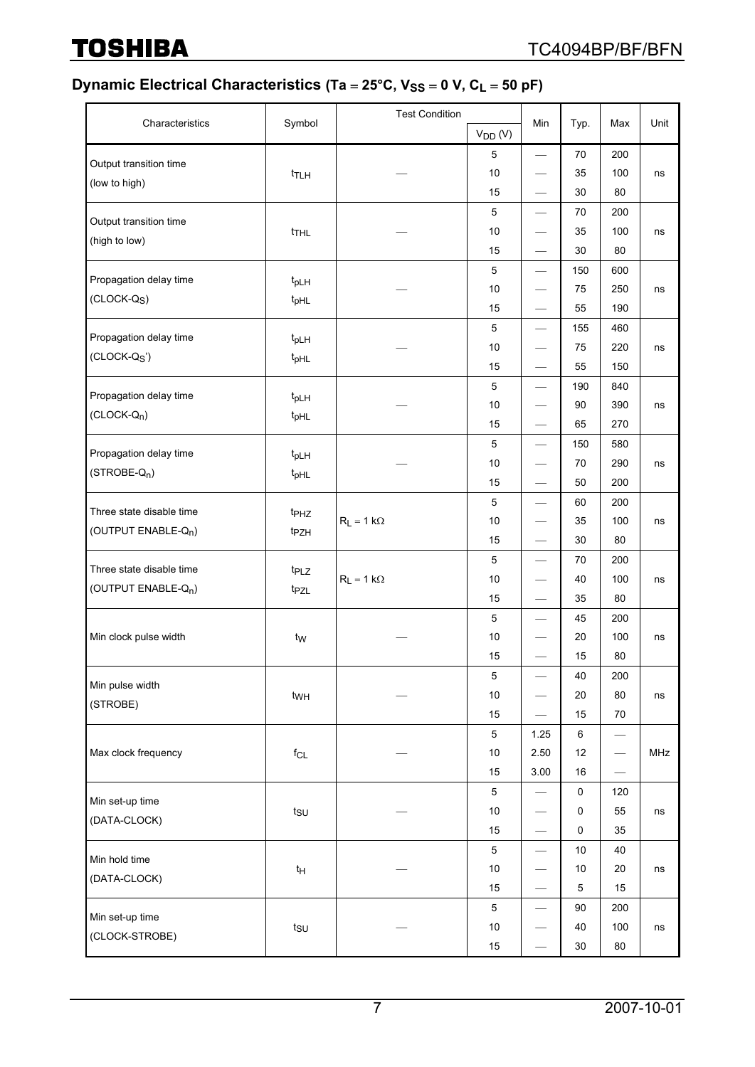# Dynamic Electrical Characteristics (Ta = 25°C, V<sub>SS</sub> = 0 V, C<sub>L</sub> = 50 pF)

|                                 |                                      | <b>Test Condition</b> |              |                                   |             |                                 |      |
|---------------------------------|--------------------------------------|-----------------------|--------------|-----------------------------------|-------------|---------------------------------|------|
| Characteristics                 | Symbol                               |                       | $V_{DD} (V)$ | Min                               | Typ.        | Max                             | Unit |
| Output transition time          |                                      |                       | 5            | $\qquad \qquad \longleftarrow$    | 70          | 200                             |      |
| (low to high)                   | t <sub>TLH</sub>                     |                       | 10           | $\qquad \qquad \longleftarrow$    | 35          | 100                             | ns   |
|                                 |                                      |                       | 15           | $\hspace{0.1mm}-\hspace{0.1mm}$   | 30          | 80                              |      |
| Output transition time          |                                      |                       | 5            | $\overline{\phantom{0}}$          | 70          | 200                             |      |
| (high to low)                   | t <sub>THL</sub>                     |                       | 10           | $\overbrace{\phantom{aaaaa}}^{}$  | 35          | 100                             | ns   |
|                                 |                                      |                       | 15           |                                   | 30          | 80                              |      |
| Propagation delay time          |                                      |                       | 5            |                                   | 150         | 600                             |      |
| $(CLOCK-QS)$                    | t <sub>pLH</sub>                     |                       | 10           |                                   | 75          | 250                             | ns   |
|                                 | t <sub>pHL</sub>                     |                       | 15           |                                   | 55          | 190                             |      |
| Propagation delay time          |                                      |                       | 5            | $\overbrace{\phantom{123221111}}$ | 155         | 460                             |      |
| $(CLOCK-QS)$                    | t <sub>pLH</sub><br>t <sub>pHL</sub> |                       | 10           | $\hspace{0.1mm}-\hspace{0.1mm}$   | 75          | 220                             | ns   |
|                                 |                                      |                       | 15           | $\qquad \qquad -$                 | 55          | 150                             |      |
| Propagation delay time          |                                      |                       | 5            | $\overbrace{\phantom{123321}}$    | 190         | 840                             |      |
| $(CLOCK-Qn)$                    | t <sub>pLH</sub>                     |                       | 10           |                                   | 90          | 390                             | ns   |
|                                 | t <sub>pHL</sub>                     |                       | 15           |                                   | 65          | 270                             |      |
| Propagation delay time          |                                      |                       | 5            | $\qquad \qquad -$                 | 150         | 580                             |      |
| $(STROBE-Qn)$                   | t <sub>pLH</sub>                     |                       | 10           |                                   | 70          | 290                             | ns   |
|                                 | t <sub>pHL</sub>                     |                       | 15           | $\overbrace{\phantom{12322111}}$  | 50          | 200                             |      |
| Three state disable time        |                                      |                       | 5            |                                   | 60          | 200                             |      |
| (OUTPUT ENABLE-Q <sub>n</sub> ) | t <sub>PHZ</sub>                     | $R_L = 1 k\Omega$     | 10           |                                   | 35          | 100                             | ns   |
|                                 | t <sub>PZH</sub>                     |                       | 15           |                                   | 30          | 80                              |      |
| Three state disable time        |                                      |                       | 5            | $\qquad \qquad -$                 | 70          | 200                             |      |
| (OUTPUT ENABLE-Q <sub>n</sub> ) | t <sub>PLZ</sub>                     | $R_L = 1 k\Omega$     | 10           | $\overbrace{\phantom{aaaaa}}$     | 40          | 100                             | ns   |
|                                 | t <sub>PZL</sub>                     |                       | 15           | $\qquad \qquad -$                 | 35          | 80                              |      |
|                                 |                                      |                       | 5            |                                   | 45          | 200                             |      |
| Min clock pulse width           | tw                                   |                       | 10           |                                   | 20          | 100                             | ns   |
|                                 |                                      |                       | 15           |                                   | 15          | 80                              |      |
| Min pulse width                 |                                      |                       | $\mathbf 5$  |                                   | 40          | 200                             |      |
|                                 | twH                                  |                       | 10           |                                   | 20          | 80                              | ns   |
| (STROBE)                        |                                      |                       | 15           | $\qquad \qquad$                   | 15          | $70\,$                          |      |
|                                 |                                      |                       | $\mathbf 5$  | 1.25                              | 6           | $\overbrace{\qquad \qquad }^{}$ |      |
| Max clock frequency             | $f_{CL}$                             |                       | 10           | 2.50                              | 12          |                                 | MHz  |
|                                 |                                      |                       | 15           | 3.00                              | 16          |                                 |      |
|                                 |                                      |                       | $\,$ 5 $\,$  | $\hspace{0.1mm}-\hspace{0.1mm}$   | $\pmb{0}$   | 120                             |      |
| Min set-up time                 | $t_{\text{SU}}$                      |                       | 10           | $\overbrace{\phantom{aaaaa}}$     | 0           | 55                              | ns   |
| (DATA-CLOCK)                    |                                      |                       | 15           | $\qquad \qquad$                   | $\pmb{0}$   | 35                              |      |
|                                 |                                      |                       | $\mathbf 5$  | $\overbrace{\qquad \qquad }^{}$   | 10          | 40                              |      |
| Min hold time                   | t <sub>Η</sub>                       |                       | $10$         |                                   | 10          | $20\,$                          | ns   |
| (DATA-CLOCK)                    |                                      |                       | 15           |                                   | $\mathbf 5$ | 15                              |      |
|                                 |                                      |                       | 5            | $\qquad \qquad -$                 | 90          | 200                             |      |
| Min set-up time                 | $t_{\text{SU}}$                      |                       | 10           |                                   | 40          | 100                             | ns   |
| (CLOCK-STROBE)                  |                                      |                       | 15           | $\qquad \qquad -$                 | $30\,$      | 80                              |      |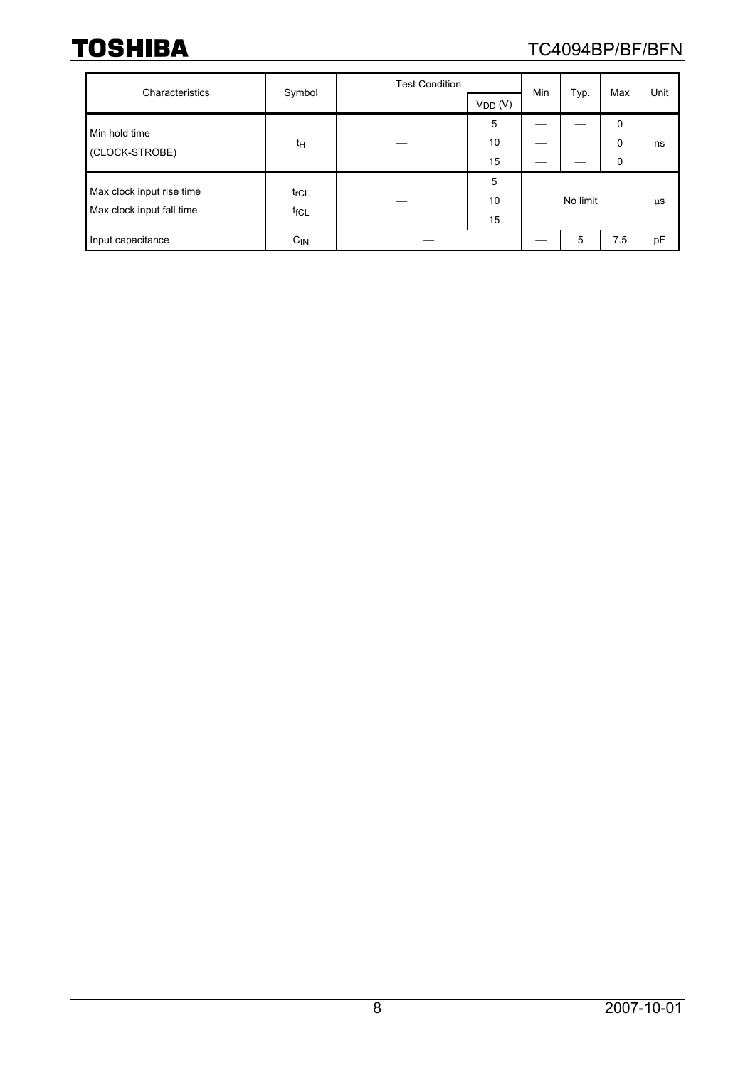# TC4094BP/BF/BFN

| Characteristics                                        | Symbol                               | <b>Test Condition</b> | $V_{DD} (V)$  | Min | Typ.     | Max                   | Unit    |
|--------------------------------------------------------|--------------------------------------|-----------------------|---------------|-----|----------|-----------------------|---------|
| Min hold time<br>(CLOCK-STROBE)                        | t <sub>Η</sub>                       |                       | 5<br>10<br>15 |     |          | $\mathbf 0$<br>0<br>0 | ns      |
| Max clock input rise time<br>Max clock input fall time | $t_{\text{rCL}}$<br>t <sub>fCL</sub> |                       | 5<br>10<br>15 |     | No limit |                       | $\mu$ S |
| Input capacitance                                      | $C_{IN}$                             |                       |               |     | 5        | 7.5                   | рF      |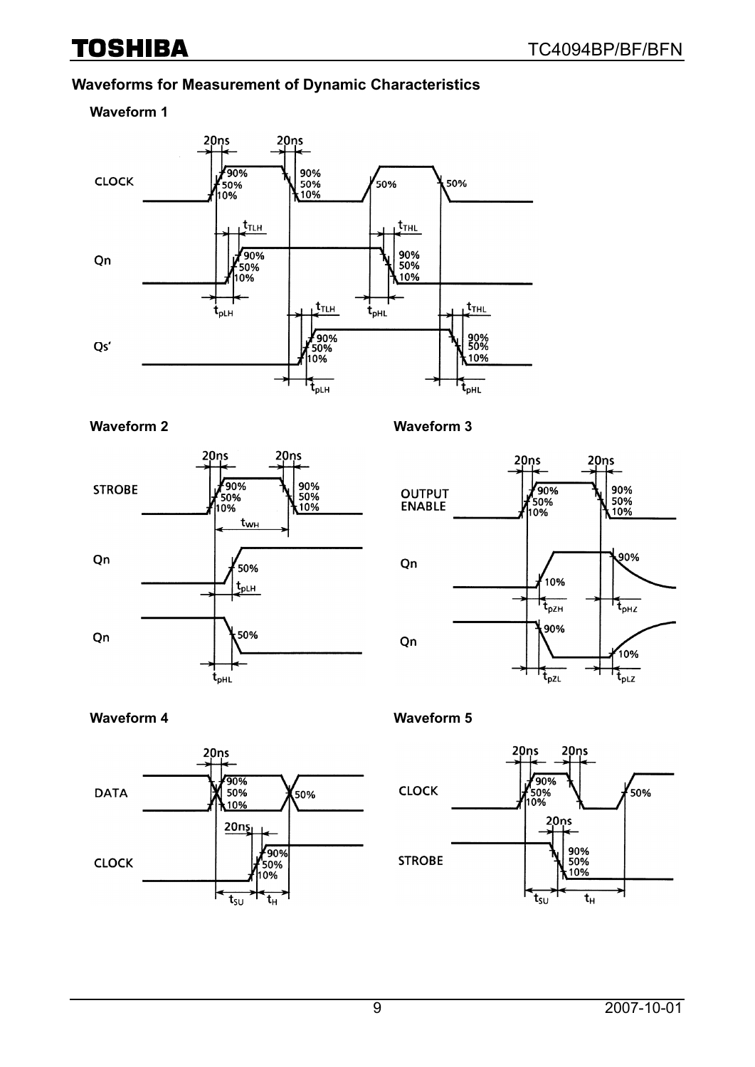### **Waveforms for Measurement of Dynamic Characteristics**

#### **Waveform 1**





#### **Waveform 2 Waveform 3**



#### **Waveform 4 Waveform 5**



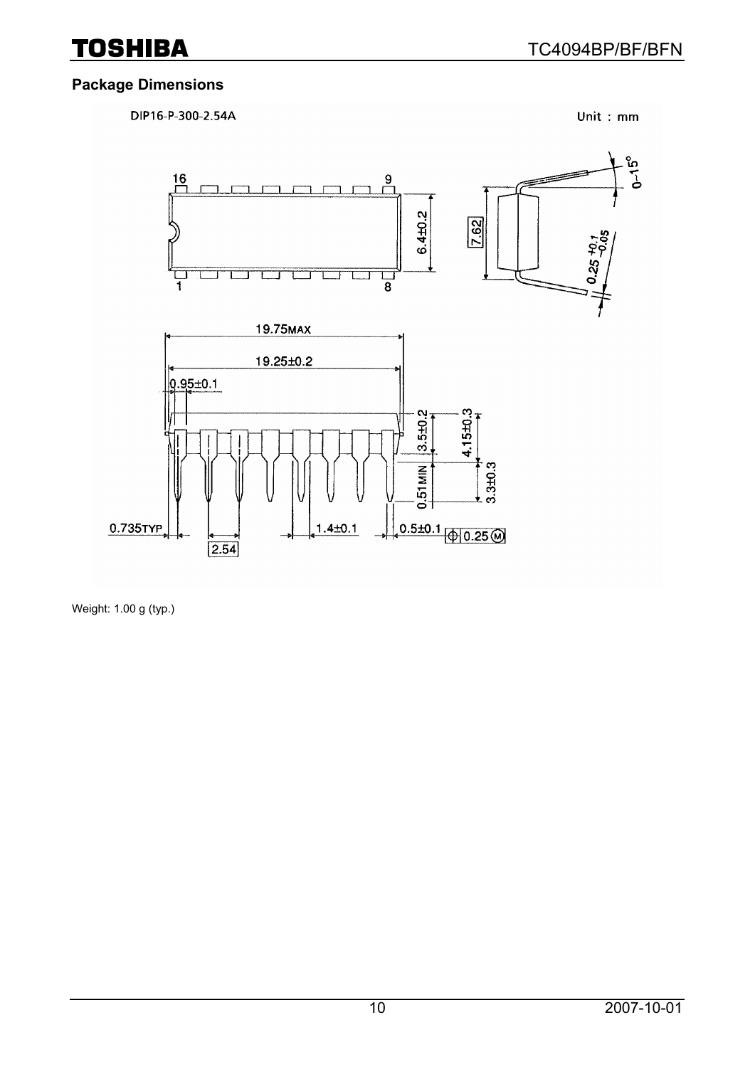# **Package Dimensions**



Weight: 1.00 g (typ.)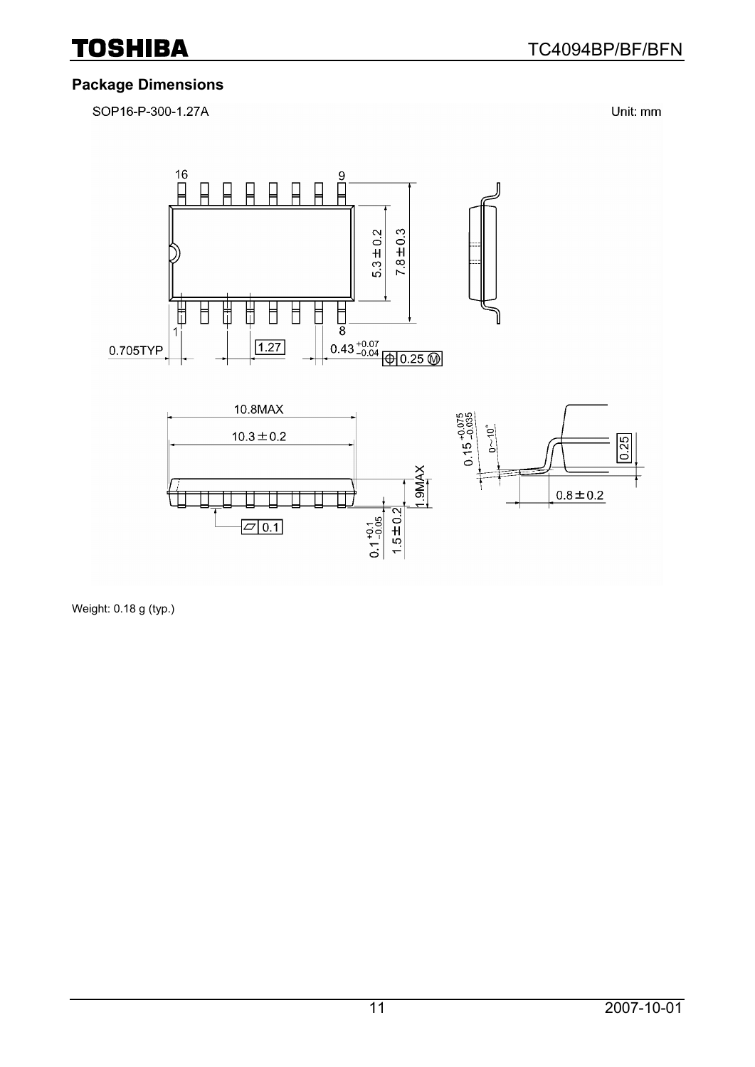

#### **Package Dimensions**

SOP16-P-300-1.27A

Unit: mm



Weight: 0.18 g (typ.)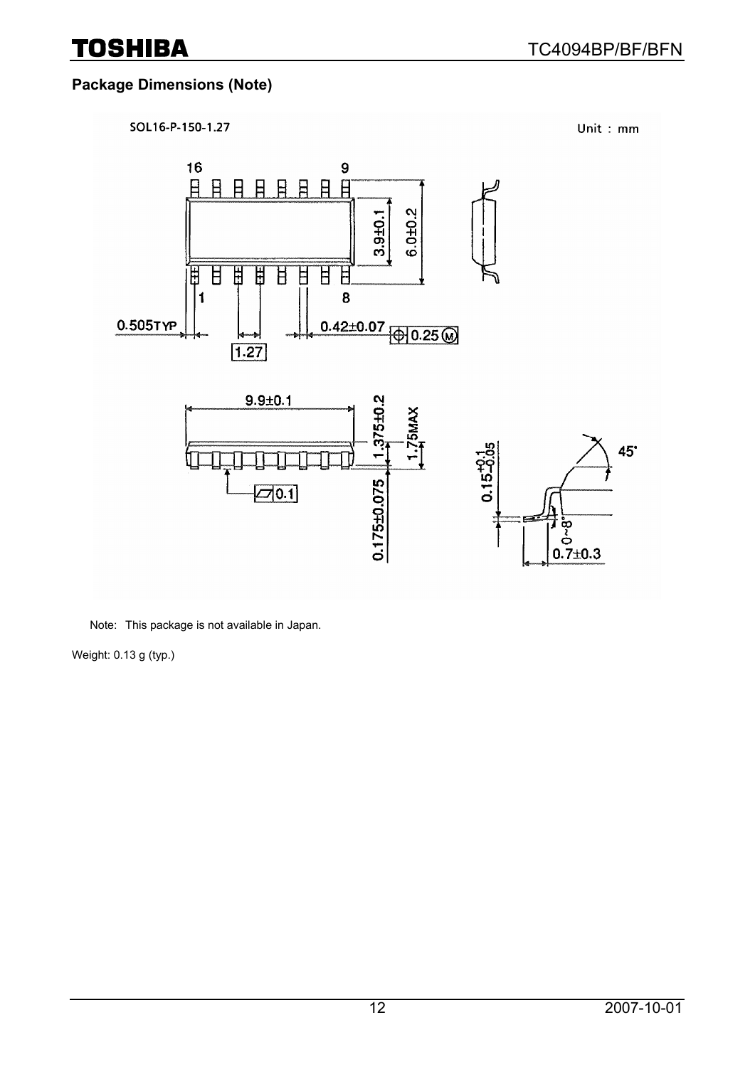# **Package Dimensions (Note)**



Note: This package is not available in Japan.

Weight: 0.13 g (typ.)